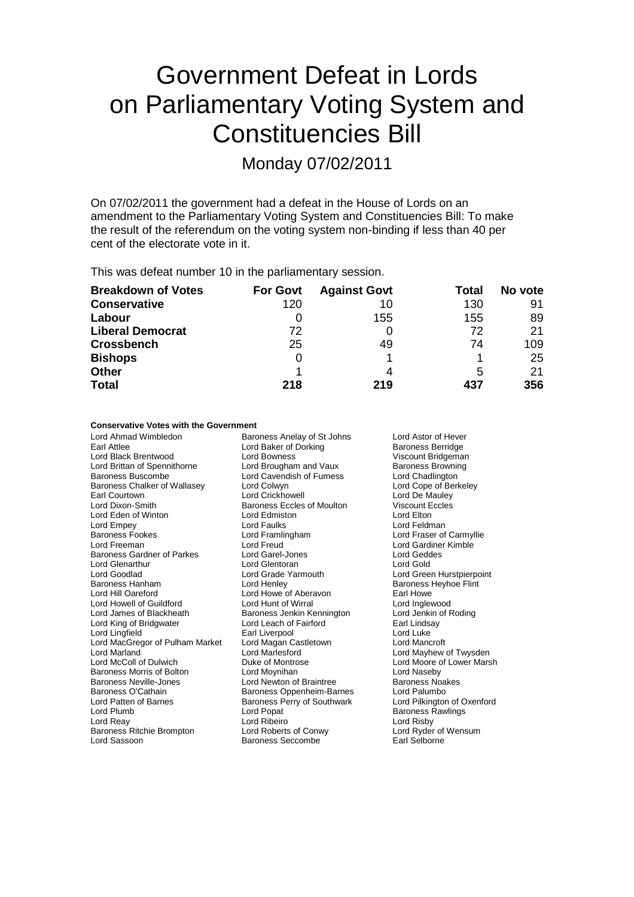# Government Defeat in Lords on Parliamentary Voting System and Constituencies Bill

Monday 07/02/2011

On 07/02/2011 the government had a defeat in the House of Lords on an amendment to the Parliamentary Voting System and Constituencies Bill: To make the result of the referendum on the voting system non-binding if less than 40 per cent of the electorate vote in it.

This was defeat number 10 in the parliamentary session.

| <b>Breakdown of Votes</b> | <b>For Govt</b> | <b>Against Govt</b> | Total | No vote |
|---------------------------|-----------------|---------------------|-------|---------|
| <b>Conservative</b>       | 120             | 10                  | 130   | 91      |
| Labour                    |                 | 155                 | 155   | 89      |
| <b>Liberal Democrat</b>   | 72              |                     | 72    | 21      |
| <b>Crossbench</b>         | 25              | 49                  | 74    | 109     |
| <b>Bishops</b>            | 0               |                     |       | 25      |
| <b>Other</b>              |                 | 4                   | 5     | 21      |
| <b>Total</b>              | 218             | 219                 | 437   | 356     |

### **Conservative Votes with the Government**

Earl Attlee **Earl Attlee Lord Baker of Dorking Baroness Berridge** Lord Black Brentwood **Lord Bowness**<br>
Lord Brittan of Spennithorne **Lord Brougham and Vaux** Baroness Browning Lord Brittan of Spennithorne Lord Brougham and Vaux Baroness Browning<br>
Baroness Buscombe Lord Cavendish of Furness Lord Chadlington Baroness Chalker of Wallasey<br>
Earl Courtown Lord Colwyn<br>
Earl Courtown Lord Crickhowell Earl Courtown **Lord Crickhowell**<br>
Lord Dixon-Smith **Lord Crickhowell**<br>
Baroness Eccles of Moulton **Lord Discount Eccles** Lord Eden of Winton Lord Edmiston Lord Elton Lord Empey **Lord Faulks**<br>
Baroness Fookes **Lord Framlingham** Baroness Fookes Lord Framlingham Lord Fraser of Carmyllie Baroness Gardner of Parkes Lord Garel-Jones Lord Glenarthur Lord Glentoran Lord Gold Lord Goodlad **Lord Grade Yarmouth** Lord Green Hurstpierpoint<br>
Baroness Hanham **Lord Henley** Cord Henley **Baroness Heyhoe Flint** Lord Hill Oareford **Lord Howe of Aberavon** Earl Howe<br>
Lord Howell of Guildford **Lord Hunt of Wirral** Lord Inglewood Lord Howell of Guildford Lord Hunt of Wirral Lord Inglewood Lord King of Bridgwater Lord Lingfield **Earl Liverpool**<br>
Lord Macaregor of Pulham Market Lord Magan Castletown **Earl Lord Mancroft** Lord MacGregor of Pulham Market Lord Magan Castleton Lord Magan Castleton Lord Marlesford Lord Marland Lord Marlesford Lord Mayhew of Twysden Baroness Morris of Bolton **Lord Moynihan** Cord Naseby<br>
Baroness Neville-Jones **Cornel Lord Newton of Braintree** Baroness Noakes Baroness Neville-Jones **Lord Newton of Braintree** Baroness Noakes Noakes Noakes Noakes Baroness Noakes Baroness N<br>Baroness O'Cathain Baroness Oppenheim-Barnes Lord Palumbo Lord Patten of Barnes Baroness Perry of Southwark<br>
Lord Plumb **Communists**<br>
Lord Popat Lord Plumb Lord Popat Cord Popat Cord Popat Baroness Rawlings<br>
Lord Reav Cord Ribeiro Cord Cord Ribeiro Cord Ribeiro Lord Ribeiro Baroness Ritchie Brompton Lord Sassoon Baroness Seccombe Earl Selborne

Lord Ahmad Wimbledon Baroness Anelay of St Johns Lord Astor of Hever Lord Cavendish of Furness Lord Chadlington<br>
Lord Colwyn<br>
Lord Cope of Berkelev Baroness Eccles of Moulton Viscount E<br>
Lord Edmiston Cord Cord Elton Exaroness Jenkin Kennington Lord Jenkin Cord Leach of Fairford Cordination Lord Leach of Fairford Duke of Montrose **Lord Moore of Lower Marsh**<br>
Lord Moynihan **Lord Naseby** Baroness Oppenheim-Barnes<br>
Baroness Perry of Southwark<br>
Lord Pilkington of Oxenford Lord Ribeiro<br>
Lord Roberts of Conwy Lord Ryder of Wensum

Lord Gardiner Kimble<br>Lord Geddes Baroness Heyhoe Flint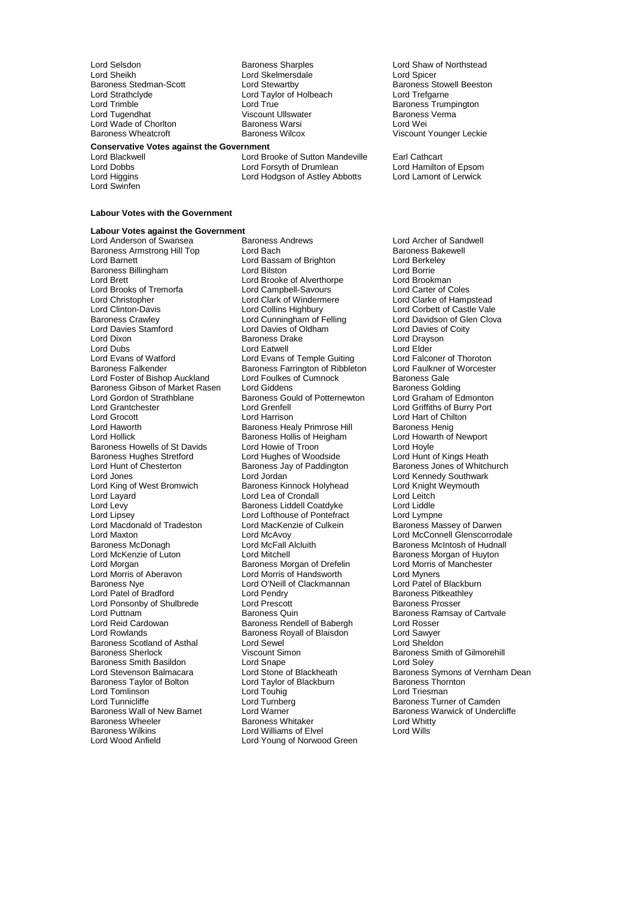Lord Sheikh Lord Skelmersdale<br>Baroness Stedman-Scott Lord Stewartby Lord Strathclyde Lord Taylor of Holbeach Lord Trefgarne<br>
Lord Trimble Lord Trumble Lord Trumble Lord Trumble Lord Trum Lord Trimble Lord True Baroness Trumpington Lord Wade of Chorlton

Lord Swinfen

Lord Selsdon **Baroness Sharples** Cord Shaw of Northstead<br>
Lord Sheikh Lord Skelmersdale Lord Spicer Viscount Ullswater **Baroness**<br>
Baroness Warsi **Baroness Verman** 

### **Conservative Votes against the Government**

Lord Brooke of Sutton Mandeville Earl Cathcart Lord Dobbs Lord Forsyth of Drumlean Lord Hamilton of Epsom Lord Higgins Lord Hodgson of Astley Abbotts Lord Lamont of Lerwick

Baroness Stowell Beeston Baroness Wheatcroft Baroness Wilcox Viscount Younger Leckie

### **Labour Votes with the Government**

### **Labour Votes against the Government**

Baroness Armstrong Hill Top Lord Bach Baroness Bakewell Baroness Bakewell Baroness Bakewell Baroness Bakewell<br>
Lord Barnett Lord Bassam of Brighton Lord Berkeley Baroness Billingham Lord Brett Lord Brooke of Alverthorpe Lord Brookman<br>
Lord Brooks of Tremorfa Lord Campbell-Savours Lord Carter of Coles Lord Brooks of Tremorfa<br>
Lord Christopher Lord Clark of Windermere Lord Christopher Lord Clark of Windermere Lord Clarke of Hampstead<br>
Lord Clinton-Davis Lord Collins Highbury Lord Corbett of Castle Vale Lord Clinton-Davis Lord Collins Highbury Lord Corbett of Castle Vale<br>Baroness Crawley Lord Corbett of Castle Vale<br>Lord Cunningham of Felling Lord Davidson of Glen Clova Baroness Crawley **Carolic Cunningham of Felling** Lord Davidson of Glen Cord Davidson of Glen Cord Davidson Cord C<br>Lord Davies Stamford Lord Davies of Oldham Lord Davies of Coity Lord Davies Stamford Lord Davies of Oldham Lord Davies of Oldham Lord Davies of Oldham Lord Dravson Lord Dixon Baroness Drake Lord Drays Lord Drays Baroness Drake Lord Drays Lord Drays<br>Cord Dubs Lord Elder Lord Dubs Lord Eatwell Lord Elder Lord Evans of Watford **Lord Evans of Temple Guiting** Lord Falconer of Thoroton<br>
Baroness Falkender **Baroness Farrington** of Ribbleton Lord Faulkner of Worcester Lord Foster of Bishop Auckland Lord Foulkes of Cumnock Baroness Gale<br>Baroness Gibson of Market Rasen Lord Giddens Baroness Golding Baroness Gibson of Market Rasen Lord Giddens **Baroness Golding**<br>
Baroness Gould of Potternewton Lord Graham of Edmonton Lord Gordon of Strathblane Baroness Gould of Potternewton<br>Lord Grantchester **Baronton Cornel Lord Grenfell** Lord Grantchester Lord Grenfell Lord Griffiths of Burry Port Lord Grocott Lord Harrison Lord Hart Lord Hart of Chilton Lord Hart of Chilton Lord Hart of Chilton Lord Hart of Chilton Lord Hart of Chilton Lord Hart of Chilton Lord Hart of Chilton Lord Hart of Chilton Lord Hart of Chil Lord Haworth **Baroness Healy Primrose Hill** Baroness Henig<br>Lord Hollick **Baroness Hollis of Heigham** Lord Howarth of Newport Baroness Howells of St Davids<br>
Baroness Hughes Stretford
Lord Hughes of Woodside
Lord Hunt of Kings Heath Baroness Hughes Stretford Lord Hughes of Woodside<br>
Lord Hunt of Chesterton Baroness Jay of Paddington Lord Hunt of Chesterton **Baroness Jay of Paddington** Baroness Jones of Whitchurch<br>
Lord Jones **Contained Baroness Jay of Paddington** Baroness Jones of Whitchurch Lord Jones **Lord Lord Jordan Collact Corporation** Lord Cord Lord Kennedy Southwark<br>
Lord King of West Bromwich **Baroness Kinnock Holyhead** Lord Knight Weymouth Lord King of West Bromwich Baroness Kinnock Holyhead Lord Knight Lord Eitch<br>Lord Layard Lord Lord Lord Lea of Crondall Lord Lord Leitch Lord Layard **Lord Lea of Crondall** Lord Lea of Crondall Lord Lea Lord Leitch<br>
Lord Levy **Lord Lord Lord Lord Lord Lord Lord Liddle** Lord Levy **Baroness Liddell Coatdyke**<br>
Lord Lipsev Lord Lofthouse of Pontefrac Lord Macdonald of Tradeston Lord MacKen<br>Lord Maxton Baroness MacAvoy Lord Maxton Lord McAvoy Lord McConnell Glenscorrodale Baroness McDonagh **Lord McFall Alcluith** Baroness McIntosh of Hudnall<br>
Lord McKenzie of Luton Lord Mitchell **Baroness Morgan** of Huyton Lord McKenzie of Luton Lord Mitchell **Lord Mitchell** Baroness Morgan of Huyton<br>Lord Morgan **Baroness Morgan of Drefelin** Lord Morris of Manchester Lord Morgan baroness Morgan of Drefelin<br>
Lord Morris of Aberavon<br>
Lord Morris of Handsworth Lord Morris of Aberavon Lord Morris of Handsworth Lord Myners Lord Patel of Bradford Lord Pendry Lord Pendry Baroness Pitkeath<br>Lord Ponsonby of Shulbrede Lord Prescott Baroness Prosser Lord Ponsonby of Shulbrede Lord Prescott<br>
Lord Puttnam Baroness Quin Lord Puttnam **Example 2** Baroness Quin Baroness Ramsay of Cartvale<br>
Lord Reid Cardowan Baroness Rendell of Babergh Lord Rosser Lord Rowlands Baroness Royall of Blaisdon Lord Sawyer Baroness Scotland of Asthal Lord Sewel Correspondent Simon Correspondences Sheldon Baroness Smith Baroness Smith Baroness Smith Basildon<br>
Lord Stevenson Balmacara<br>
Lord Stone of Blackheath Baroness Taylor of Bolton Lord Taylor of Blackburn Baroness Thorness Thorness Thorness Thorness Thorness Thorness Thorness Thorness Thorness Thorness Thorness Thorness Thorness Thorness Thorness Thorness Thorness Thorness Lord Tomlinson<br>
Lord Tunnicliffe Santa Cord Turnber Lord Tunnicliffe Lord Turnberg Communication Camden<br>
Baroness Wall of New Barnet Lord Warner Communication Communication Communication Communication Communication Baroness Wall of New Barnet Lord Warner **Lord Warner Baroness Warwick of Undercliffe**<br>Baroness Wheeler Baroness Whitaker **Baroness Whitaker** Lord Whitty **Baroness Wheeler Baroness Whitaker Lord White**<br>Baroness Wilkins **Baroness Williams of Flyel** and Wills Baroness Wilkins **Lord Williams of Elvel**<br>
Lord Wood Anfield
Lord Young of Norwoo

Lord Anderson of Swansea Baroness Andrews **Lord Anderson of Sandwell**<br>Baroness Armstrong Hill Top Lord Bach **Corress Candwell** Lord Bassam of Brighton Lord Berkeley<br>
Lord Bilston Lord Borrie Baroness Farrington of Ribbleton Lord Faulkner of Ribbleton Lord Faulkner of Cumnock Cale Baroness Hollis of Heigham Lord Howarth Lord Howarth Cord Howarth Cord Hoyle Lord Lofthouse of Pontefract Lord Lympne<br>Lord MacKenzie of Culkein Baroness Massey of Darwen Lord O'Neill of Clackmannan Lord Patel of Blackburn Cord Pendry<br>
Baroness Pitkeathley Baroness Rendell of Babergh Lord Young of Norwood Green

Baroness Smith of Gilmorehill<br>I ord Solev Lord Stone of Blackheath Baroness Symons of Vernham Dean<br>
Lord Taylor of Blackburn Baroness Thornton